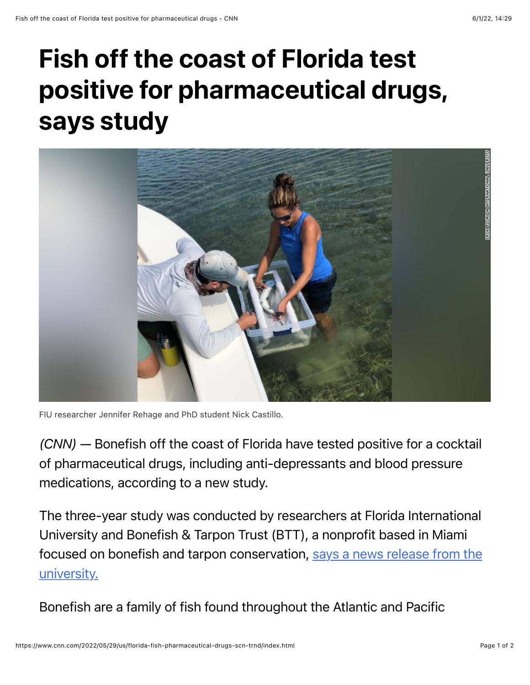## Fish off the coast of Florida test positive for pharmaceutical drugs, says study



FIU researcher Jennifer Rehage and PhD student Nick Castillo.

*(CNN)* — Bonefish off the coast of Florida have tested positive for a cocktail of pharmaceutical drugs, including anti-depressants and blood pressure medications, according to a new study.

The three-year study was conducted by researchers at Florida International University and Bonefish & Tarpon Trust (BTT), a nonprofit based in Miami [focused on bonefish and tarpon conservation, says a news release from the](https://news.fiu.edu/2022/pharmaceutical-contaminants-discovered-in-south-florida-bonefish) university.

Bonefish are a family of fish found throughout the Atlantic and Pacific